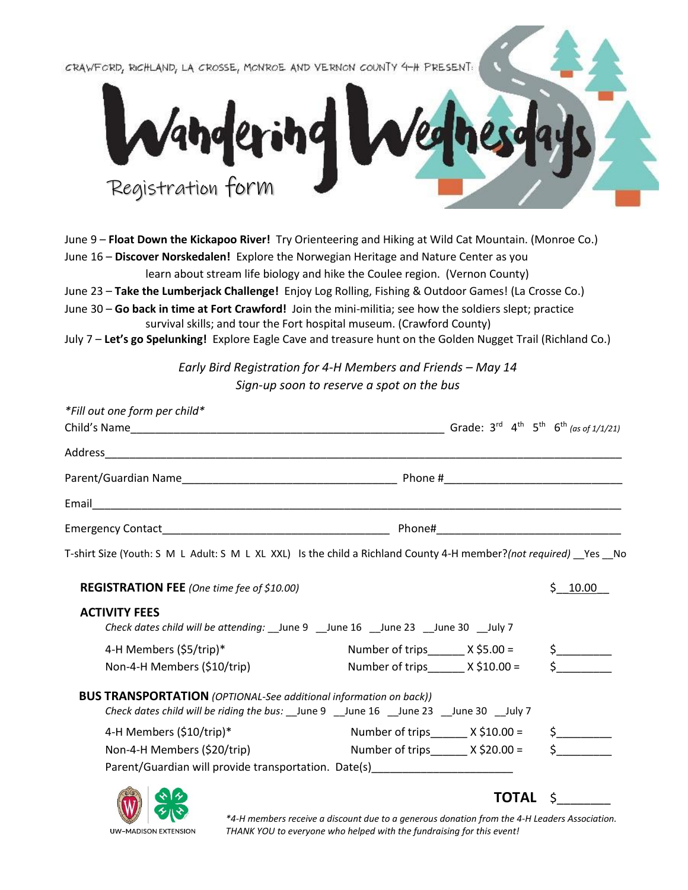CRAWFORD, RICHLAND, LA CROSSE, MONROE AND VERNON COUNTY 4-H PRESENT:



June 9 – **Float Down the Kickapoo River!** Try Orienteering and Hiking at Wild Cat Mountain. (Monroe Co.) June 16 – **Discover Norskedalen!** Explore the Norwegian Heritage and Nature Center as you

learn about stream life biology and hike the Coulee region. (Vernon County)

June 23 – **Take the Lumberjack Challenge!** Enjoy Log Rolling, Fishing & Outdoor Games! (La Crosse Co.)

June 30 – **Go back in time at Fort Crawford!** Join the mini-militia; see how the soldiers slept; practice survival skills; and tour the Fort hospital museum. (Crawford County)

July 7 – **Let's go Spelunking!** Explore Eagle Cave and treasure hunt on the Golden Nugget Trail (Richland Co.)

*Early Bird Registration for 4-H Members and Friends – May 14 Sign-up soon to reserve a spot on the bus*

| *Fill out one form per child*                                                                                                                                         |                                          |                                           |               |
|-----------------------------------------------------------------------------------------------------------------------------------------------------------------------|------------------------------------------|-------------------------------------------|---------------|
|                                                                                                                                                                       |                                          |                                           |               |
|                                                                                                                                                                       |                                          |                                           |               |
|                                                                                                                                                                       |                                          |                                           |               |
|                                                                                                                                                                       |                                          |                                           |               |
|                                                                                                                                                                       |                                          |                                           |               |
| T-shirt Size (Youth: S M L Adult: S M L XL XXL) Is the child a Richland County 4-H member?(not required) Yes No                                                       |                                          |                                           |               |
| <b>REGISTRATION FEE</b> (One time fee of \$10.00)                                                                                                                     |                                          |                                           | \$10.00       |
| <b>ACTIVITY FEES</b><br>Check dates child will be attending: _June 9 _June 16 _June 23 _June 30 _July 7                                                               |                                          |                                           |               |
| 4-H Members (\$5/trip)*                                                                                                                                               |                                          | Number of trips $X$ \$5.00 =              | \$__________  |
| Non-4-H Members (\$10/trip)                                                                                                                                           | Number of trips______ $\times$ \$10.00 = |                                           |               |
| <b>BUS TRANSPORTATION</b> (OPTIONAL-See additional information on back))<br>Check dates child will be riding the bus: __June 9 __June 16 __June 23 __June 30 __July 7 |                                          |                                           |               |
| 4-H Members (\$10/trip)*                                                                                                                                              |                                          | Number of trips $\frac{1}{2}$ X \$10.00 = | $\frac{1}{2}$ |
| Non-4-H Members (\$20/trip)                                                                                                                                           |                                          | Number of trips $\frac{X \cdot 20.00}{Y}$ |               |
| Parent/Guardian will provide transportation. Date(s)____________________________                                                                                      |                                          |                                           |               |
|                                                                                                                                                                       |                                          | <b>TOTAL</b>                              | \$            |



*\*4-H members receive a discount due to a generous donation from the 4-H Leaders Association. THANK YOU to everyone who helped with the fundraising for this event!*